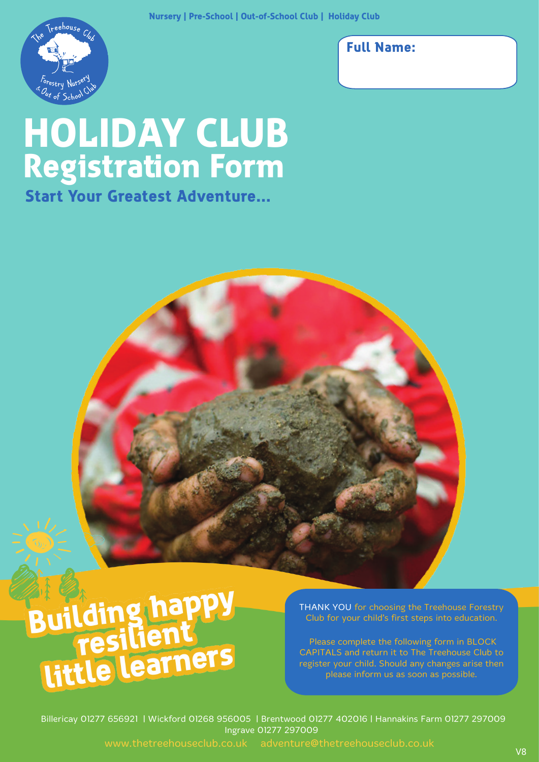

### **Full Name:**

# **HOLIDAY CLUB Registration Form**

**Start Your Greatest Adventure...**



THANK YOU for choosing the Treehouse Forestry Club for your child's first steps into education.

 Please complete the following form in BLOCK CAPITALS and return it to The Treehouse Club to register your child. Should any changes arise then please inform us as soon as possible.

Billericay 01277 656921 | Wickford 01268 956005 | Brentwood 01277 402016 | Hannakins Farm 01277 297009 Ingrave 01277 297009

www.thetreehouseclub.co.uk adventure@thetreehouseclub.co.uk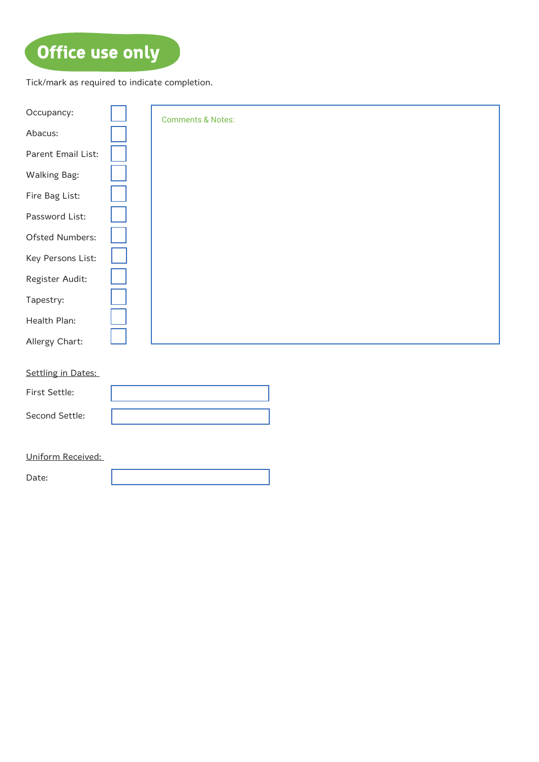# **Office use only**

Tick/mark as required to indicate completion.

| Occupancy:          | <b>Comments &amp; Notes:</b> |
|---------------------|------------------------------|
| Abacus:             |                              |
| Parent Email List:  |                              |
| <b>Walking Bag:</b> |                              |
| Fire Bag List:      |                              |
| Password List:      |                              |
| Ofsted Numbers:     |                              |
| Key Persons List:   |                              |
| Register Audit:     |                              |
| Tapestry:           |                              |
| Health Plan:        |                              |
| Allergy Chart:      |                              |
| Settling in Dates:  |                              |
|                     |                              |
| First Settle:       |                              |
| Second Settle:      |                              |
|                     |                              |
| Uniform Received:   |                              |

Date: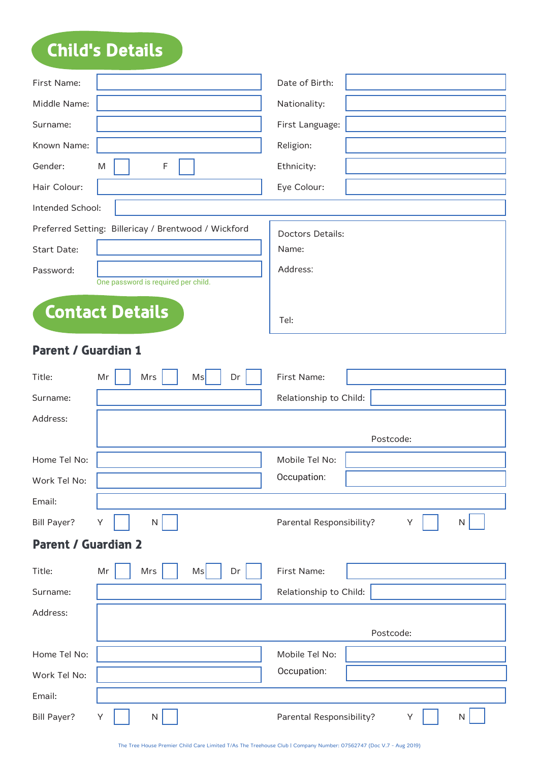# **Child's Details**

| First Name:                |                                                      | Date of Birth:                     |
|----------------------------|------------------------------------------------------|------------------------------------|
| Middle Name:               |                                                      | Nationality:                       |
| Surname:                   |                                                      | First Language:                    |
| Known Name:                |                                                      | Religion:                          |
| Gender:                    | M<br>F                                               | Ethnicity:                         |
| Hair Colour:               |                                                      | Eye Colour:                        |
| Intended School:           |                                                      |                                    |
|                            | Preferred Setting: Billericay / Brentwood / Wickford | Doctors Details:                   |
| <b>Start Date:</b>         |                                                      | Name:                              |
| Password:                  |                                                      | Address:                           |
|                            | One password is required per child.                  |                                    |
|                            | <b>Contact Details</b>                               | Tel:                               |
| <b>Parent / Guardian 1</b> |                                                      |                                    |
| Title:                     | Mr<br>Mrs<br>Ms<br>Dr                                | First Name:                        |
| Surname:                   |                                                      | Relationship to Child:             |
| Address:                   |                                                      |                                    |
|                            |                                                      | Postcode:                          |
| Home Tel No:               |                                                      | Mobile Tel No:                     |
| Work Tel No:               |                                                      | Occupation:                        |
| Email:                     |                                                      |                                    |
| <b>Bill Payer?</b>         | N<br>Υ                                               | Parental Responsibility?<br>Υ<br>N |
| <b>Parent / Guardian 2</b> |                                                      |                                    |
| Title:                     | $\sf Mr$<br>Mrs<br>Ms<br>Dr                          | First Name:                        |
| Surname:                   |                                                      | Relationship to Child:             |
| Address:                   |                                                      |                                    |
|                            |                                                      | Postcode:                          |
| Home Tel No:               |                                                      | Mobile Tel No:                     |
| Work Tel No:               |                                                      | Occupation:                        |
| Email:                     |                                                      |                                    |
| <b>Bill Payer?</b>         | N.<br>Υ                                              | Parental Responsibility?<br>Υ<br>N |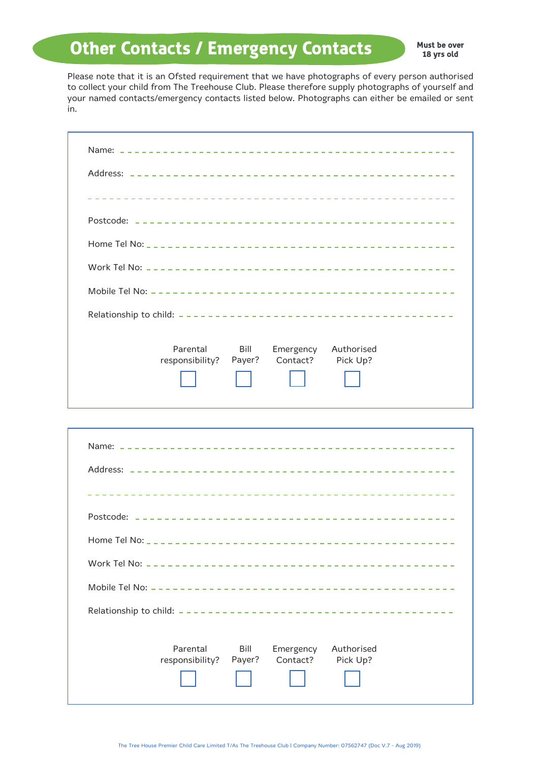### **Other Contacts / Emergency Contacts**

**Must be over 18 yrs old**

Please note that it is an Ofsted requirement that we have photographs of every person authorised to collect your child from The Treehouse Club. Please therefore supply photographs of yourself and your named contacts/emergency contacts listed below. Photographs can either be emailed or sent in.

| Parental<br>Bill<br>Authorised<br>Emergency<br>Contact?<br>Payer?<br>Pick Up?<br>responsibility? |
|--------------------------------------------------------------------------------------------------|

| Parental<br>Bill<br>Authorised<br>Emergency<br>Contact?<br>Pick Up?<br>responsibility? Payer? |
|-----------------------------------------------------------------------------------------------|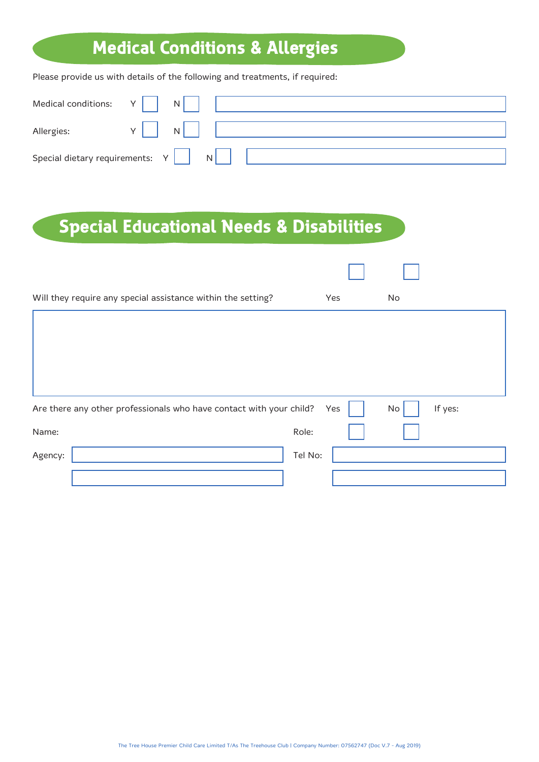## **Medical Conditions & Allergies**

Please provide us with details of the following and treatments, if required:

| Medical conditions: $Y \mid N$                |                                      |  |
|-----------------------------------------------|--------------------------------------|--|
| Allergies:                                    | $\mathbf{u} = \mathbf{N} \mathbf{I}$ |  |
| Special dietary requirements: $Y \parallel N$ |                                      |  |

### **Special Educational Needs & Disabilities**

| Will they require any special assistance within the setting?        | Yes     | No |         |
|---------------------------------------------------------------------|---------|----|---------|
|                                                                     |         |    |         |
|                                                                     |         |    |         |
|                                                                     |         |    |         |
|                                                                     |         |    |         |
| Are there any other professionals who have contact with your child? | Yes     | No | If yes: |
| Name:                                                               | Role:   |    |         |
| Agency:                                                             | Tel No: |    |         |
|                                                                     |         |    |         |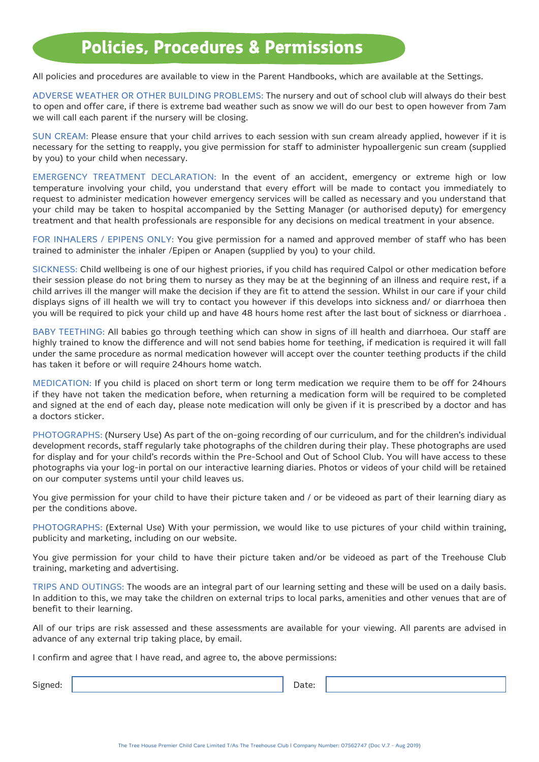### **Policies, Procedures & Permissions**

All policies and procedures are available to view in the Parent Handbooks, which are available at the Settings.

ADVERSE WEATHER OR OTHER BUILDING PROBLEMS: The nursery and out of school club will always do their best to open and offer care, if there is extreme bad weather such as snow we will do our best to open however from 7am we will call each parent if the nursery will be closing.

SUN CREAM: Please ensure that your child arrives to each session with sun cream already applied, however if it is necessary for the setting to reapply, you give permission for staff to administer hypoallergenic sun cream (supplied by you) to your child when necessary.

EMERGENCY TREATMENT DECLARATION: In the event of an accident, emergency or extreme high or low temperature involving your child, you understand that every effort will be made to contact you immediately to request to administer medication however emergency services will be called as necessary and you understand that your child may be taken to hospital accompanied by the Setting Manager (or authorised deputy) for emergency treatment and that health professionals are responsible for any decisions on medical treatment in your absence.

FOR INHALERS / EPIPENS ONLY: You give permission for a named and approved member of staff who has been trained to administer the inhaler /Epipen or Anapen (supplied by you) to your child.

SICKNESS: Child wellbeing is one of our highest priories, if you child has required Calpol or other medication before their session please do not bring them to nursey as they may be at the beginning of an illness and require rest, if a child arrives ill the manger will make the decision if they are fit to attend the session. Whilst in our care if your child displays signs of ill health we will try to contact you however if this develops into sickness and/ or diarrhoea then you will be required to pick your child up and have 48 hours home rest after the last bout of sickness or diarrhoea .

BABY TEETHING: All babies go through teething which can show in signs of ill health and diarrhoea. Our staff are highly trained to know the difference and will not send babies home for teething, if medication is required it will fall under the same procedure as normal medication however will accept over the counter teething products if the child has taken it before or will require 24hours home watch.

MEDICATION: If you child is placed on short term or long term medication we require them to be off for 24hours if they have not taken the medication before, when returning a medication form will be required to be completed and signed at the end of each day, please note medication will only be given if it is prescribed by a doctor and has a doctors sticker.

PHOTOGRAPHS: (Nursery Use) As part of the on-going recording of our curriculum, and for the children's individual development records, staff regularly take photographs of the children during their play. These photographs are used for display and for your child's records within the Pre-School and Out of School Club. You will have access to these photographs via your log-in portal on our interactive learning diaries. Photos or videos of your child will be retained on our computer systems until your child leaves us.

You give permission for your child to have their picture taken and / or be videoed as part of their learning diary as per the conditions above.

PHOTOGRAPHS: (External Use) With your permission, we would like to use pictures of your child within training, publicity and marketing, including on our website.

You give permission for your child to have their picture taken and/or be videoed as part of the Treehouse Club training, marketing and advertising.

TRIPS AND OUTINGS: The woods are an integral part of our learning setting and these will be used on a daily basis. In addition to this, we may take the children on external trips to local parks, amenities and other venues that are of benefit to their learning.

All of our trips are risk assessed and these assessments are available for your viewing. All parents are advised in advance of any external trip taking place, by email.

I confirm and agree that I have read, and agree to, the above permissions:

Signed: Date: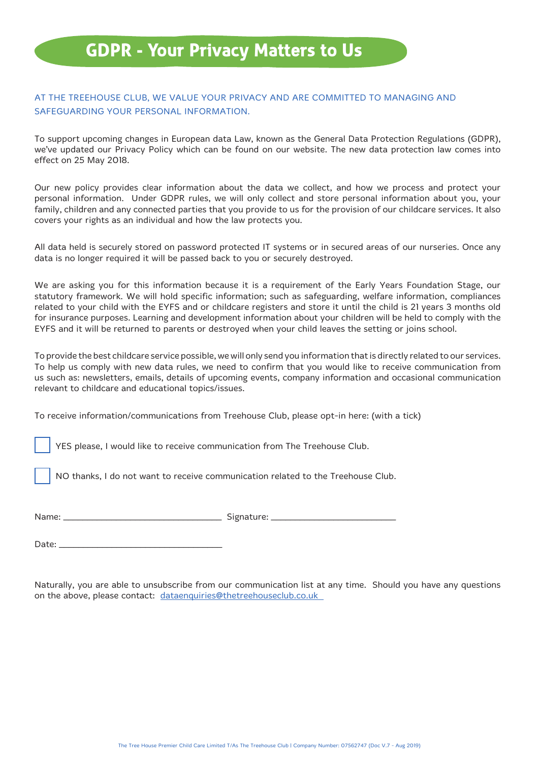### **GDPR - Your Privacy Matters to Us**

#### AT THE TREEHOUSE CLUB, WE VALUE YOUR PRIVACY AND ARE COMMITTED TO MANAGING AND SAFEGUARDING YOUR PERSONAL INFORMATION.

To support upcoming changes in European data Law, known as the General Data Protection Regulations (GDPR), we've updated our Privacy Policy which can be found on our website. The new data protection law comes into effect on 25 May 2018.

Our new policy provides clear information about the data we collect, and how we process and protect your personal information. Under GDPR rules, we will only collect and store personal information about you, your family, children and any connected parties that you provide to us for the provision of our childcare services. It also covers your rights as an individual and how the law protects you.

All data held is securely stored on password protected IT systems or in secured areas of our nurseries. Once any data is no longer required it will be passed back to you or securely destroyed.

We are asking you for this information because it is a requirement of the Early Years Foundation Stage, our statutory framework. We will hold specific information; such as safeguarding, welfare information, compliances related to your child with the EYFS and or childcare registers and store it until the child is 21 years 3 months old for insurance purposes. Learning and development information about your children will be held to comply with the EYFS and it will be returned to parents or destroyed when your child leaves the setting or joins school.

To provide the best childcare service possible, we will only send you information that is directly related to our services. To help us comply with new data rules, we need to confirm that you would like to receive communication from us such as: newsletters, emails, details of upcoming events, company information and occasional communication relevant to childcare and educational topics/issues.

To receive information/communications from Treehouse Club, please opt-in here: (with a tick)

YES please, I would like to receive communication from The Treehouse Club.

NO thanks, I do not want to receive communication related to the Treehouse Club.

| Name: | Signature: |
|-------|------------|
|-------|------------|

Date: \_\_\_\_\_\_\_\_\_\_\_\_\_\_\_\_\_\_\_\_\_\_\_\_\_\_\_\_\_\_\_\_\_\_

Naturally, you are able to unsubscribe from our communication list at any time. Should you have any questions on the above, please contact: dataenquiries@thetreehouseclub.co.uk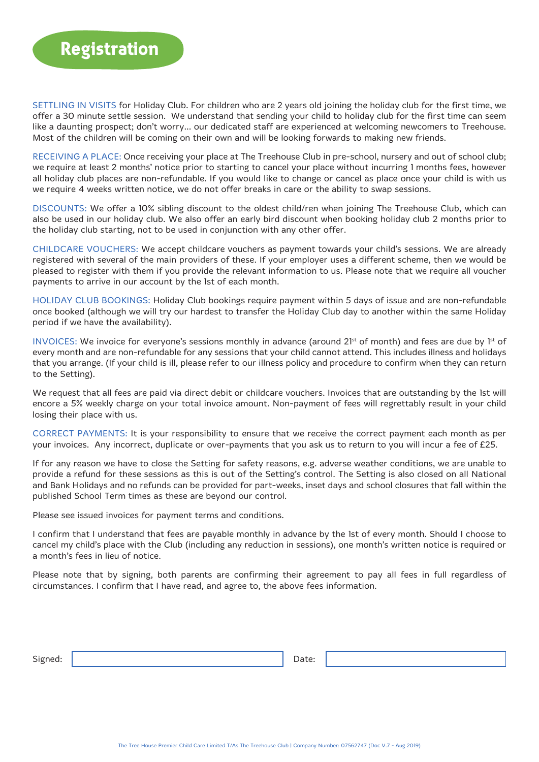SETTLING IN VISITS for Holiday Club. For children who are 2 years old joining the holiday club for the first time, we offer a 30 minute settle session. We understand that sending your child to holiday club for the first time can seem like a daunting prospect; don't worry... our dedicated staff are experienced at welcoming newcomers to Treehouse. Most of the children will be coming on their own and will be looking forwards to making new friends.

RECEIVING A PLACE: Once receiving your place at The Treehouse Club in pre-school, nursery and out of school club; we require at least 2 months' notice prior to starting to cancel your place without incurring 1 months fees, however all holiday club places are non-refundable. If you would like to change or cancel as place once your child is with us we require 4 weeks written notice, we do not offer breaks in care or the ability to swap sessions.

DISCOUNTS: We offer a 10% sibling discount to the oldest child/ren when joining The Treehouse Club, which can also be used in our holiday club. We also offer an early bird discount when booking holiday club 2 months prior to the holiday club starting, not to be used in conjunction with any other offer.

CHILDCARE VOUCHERS: We accept childcare vouchers as payment towards your child's sessions. We are already registered with several of the main providers of these. If your employer uses a different scheme, then we would be pleased to register with them if you provide the relevant information to us. Please note that we require all voucher payments to arrive in our account by the 1st of each month.

HOLIDAY CLUB BOOKINGS: Holiday Club bookings require payment within 5 days of issue and are non-refundable once booked (although we will try our hardest to transfer the Holiday Club day to another within the same Holiday period if we have the availability).

INVOICES: We invoice for everyone's sessions monthly in advance (around 21<sup>st</sup> of month) and fees are due by 1<sup>st</sup> of every month and are non-refundable for any sessions that your child cannot attend. This includes illness and holidays that you arrange. (If your child is ill, please refer to our illness policy and procedure to confirm when they can return to the Setting).

We request that all fees are paid via direct debit or childcare vouchers. Invoices that are outstanding by the 1st will encore a 5% weekly charge on your total invoice amount. Non-payment of fees will regrettably result in your child losing their place with us.

CORRECT PAYMENTS: It is your responsibility to ensure that we receive the correct payment each month as per your invoices. Any incorrect, duplicate or over-payments that you ask us to return to you will incur a fee of £25.

If for any reason we have to close the Setting for safety reasons, e.g. adverse weather conditions, we are unable to provide a refund for these sessions as this is out of the Setting's control. The Setting is also closed on all National and Bank Holidays and no refunds can be provided for part-weeks, inset days and school closures that fall within the published School Term times as these are beyond our control.

Please see issued invoices for payment terms and conditions.

I confirm that I understand that fees are payable monthly in advance by the 1st of every month. Should I choose to cancel my child's place with the Club (including any reduction in sessions), one month's written notice is required or a month's fees in lieu of notice.

Please note that by signing, both parents are confirming their agreement to pay all fees in full regardless of circumstances. I confirm that I have read, and agree to, the above fees information.

Signed: Date: